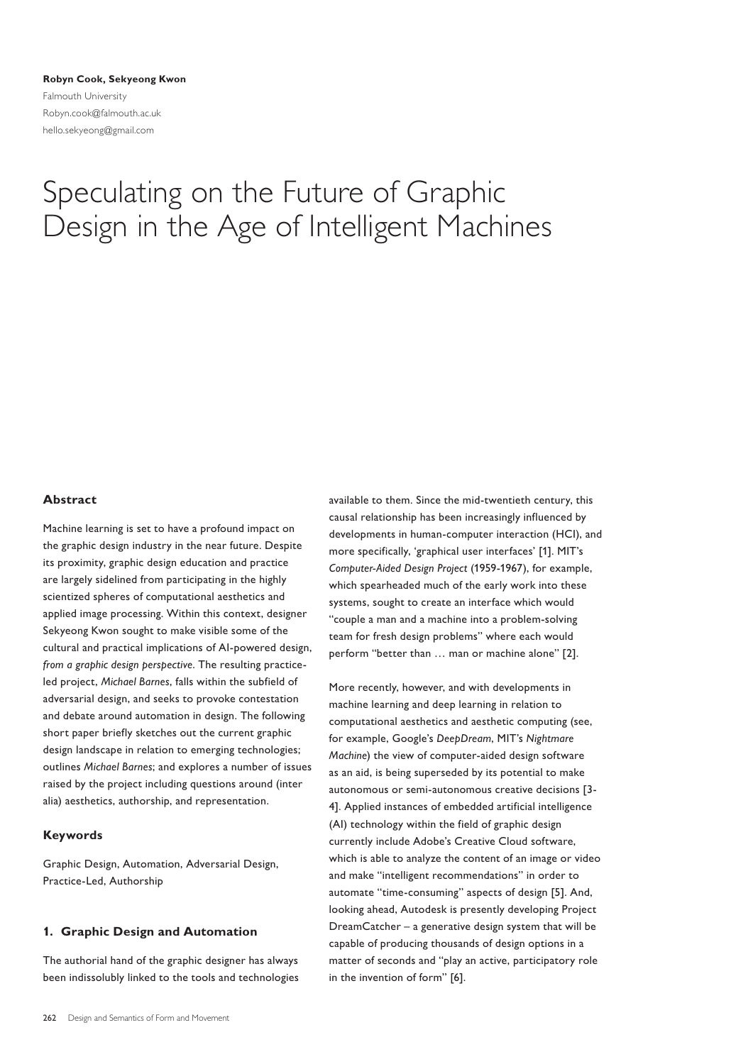**Robyn Cook, Sekyeong Kwon** Falmouth University Robyn.cook@falmouth.ac.uk hello.sekyeong@gmail.com

# Speculating on the Future of Graphic Design in the Age of Intelligent Machines

## **Abstract**

Machine learning is set to have a profound impact on the graphic design industry in the near future. Despite its proximity, graphic design education and practice are largely sidelined from participating in the highly scientized spheres of computational aesthetics and applied image processing. Within this context, designer Sekyeong Kwon sought to make visible some of the cultural and practical implications of AI-powered design, *from a graphic design perspective*. The resulting practiceled project, *Michael Barnes*, falls within the subfield of adversarial design, and seeks to provoke contestation and debate around automation in design. The following short paper briefly sketches out the current graphic design landscape in relation to emerging technologies; outlines *Michael Barnes*; and explores a number of issues raised by the project including questions around (inter alia) aesthetics, authorship, and representation.

## **Keywords**

Graphic Design, Automation, Adversarial Design, Practice-Led, Authorship

# **1. Graphic Design and Automation**

The authorial hand of the graphic designer has always been indissolubly linked to the tools and technologies available to them. Since the mid-twentieth century, this causal relationship has been increasingly influenced by developments in human-computer interaction (HCI), and more specifically, 'graphical user interfaces' [1]. MIT's *Computer-Aided Design Project* (1959-1967), for example, which spearheaded much of the early work into these systems, sought to create an interface which would "couple a man and a machine into a problem-solving team for fresh design problems" where each would perform "better than … man or machine alone" [2].

More recently, however, and with developments in machine learning and deep learning in relation to computational aesthetics and aesthetic computing (see, for example, Google's *DeepDream*, MIT's *Nightmare Machine*) the view of computer-aided design software as an aid, is being superseded by its potential to make autonomous or semi-autonomous creative decisions [3- 4]. Applied instances of embedded artificial intelligence (AI) technology within the field of graphic design currently include Adobe's Creative Cloud software, which is able to analyze the content of an image or video and make "intelligent recommendations" in order to automate "time-consuming" aspects of design [5]. And, looking ahead, Autodesk is presently developing Project DreamCatcher – a generative design system that will be capable of producing thousands of design options in a matter of seconds and "play an active, participatory role in the invention of form" [6].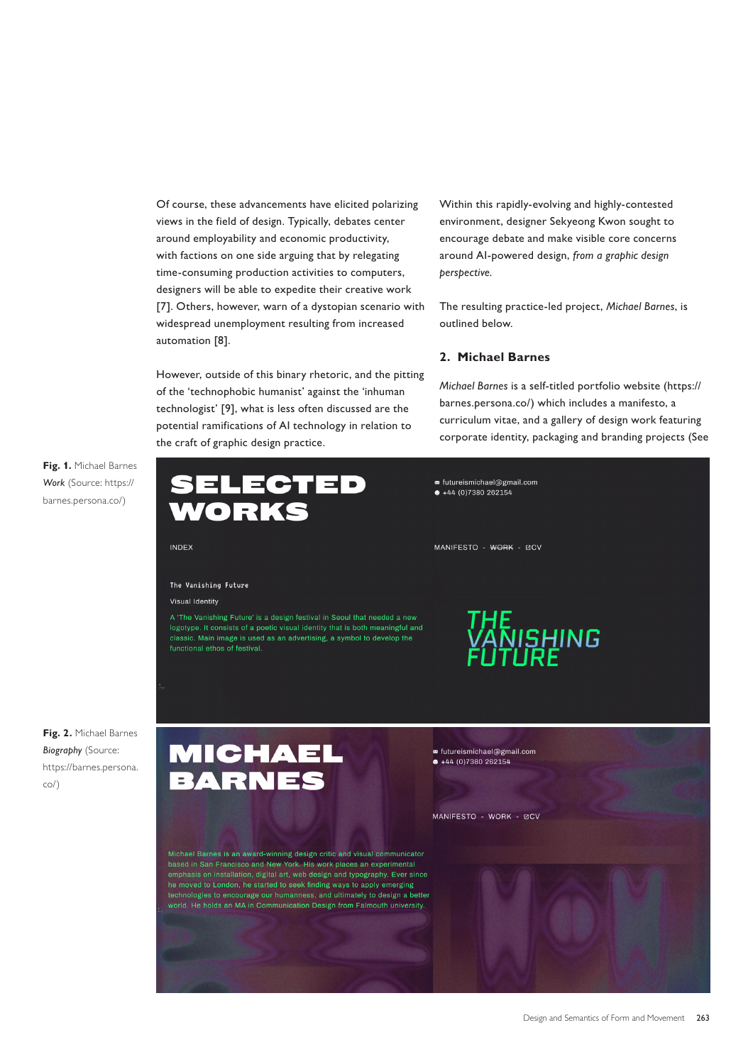Of course, these advancements have elicited polarizing views in the field of design. Typically, debates center around employability and economic productivity, with factions on one side arguing that by relegating time-consuming production activities to computers, designers will be able to expedite their creative work [7]. Others, however, warn of a dystopian scenario with widespread unemployment resulting from increased automation [8].

However, outside of this binary rhetoric, and the pitting of the 'technophobic humanist' against the 'inhuman technologist' [9], what is less often discussed are the potential ramifications of AI technology in relation to the craft of graphic design practice.

Within this rapidly-evolving and highly-contested environment, designer Sekyeong Kwon sought to encourage debate and make visible core concerns around AI-powered design, *from a graphic design perspective.* 

The resulting practice-led project, *Michael Barnes*, is outlined below.

# **2. Michael Barnes**

*Michael Barnes* is a self-titled portfolio website (https:// barnes.persona.co/) which includes a manifesto, a curriculum vitae, and a gallery of design work featuring corporate identity, packaging and branding projects (See

**Fig. 1.** Michael Barnes *Work* (Source: https:// barnes.persona.co/)



**Fig. 2.** Michael Barnes *Biography* (Source: https://barnes.persona. co/)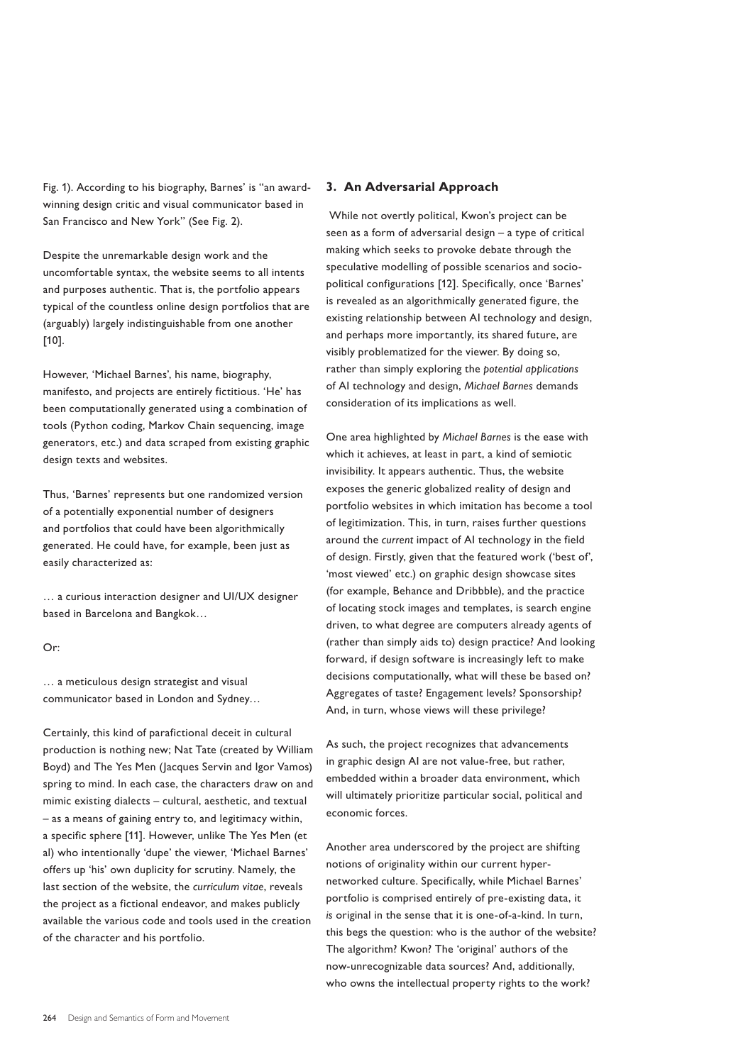Fig. 1). According to his biography, Barnes' is "an awardwinning design critic and visual communicator based in San Francisco and New York" (See Fig. 2).

Despite the unremarkable design work and the uncomfortable syntax, the website seems to all intents and purposes authentic. That is, the portfolio appears typical of the countless online design portfolios that are (arguably) largely indistinguishable from one another [10].

However, 'Michael Barnes', his name, biography, manifesto, and projects are entirely fictitious. 'He' has been computationally generated using a combination of tools (Python coding, Markov Chain sequencing, image generators, etc.) and data scraped from existing graphic design texts and websites.

Thus, 'Barnes' represents but one randomized version of a potentially exponential number of designers and portfolios that could have been algorithmically generated. He could have, for example, been just as easily characterized as:

… a curious interaction designer and UI/UX designer based in Barcelona and Bangkok…

#### Or:

… a meticulous design strategist and visual communicator based in London and Sydney…

Certainly, this kind of parafictional deceit in cultural production is nothing new; Nat Tate (created by William Boyd) and The Yes Men (Jacques Servin and Igor Vamos) spring to mind. In each case, the characters draw on and mimic existing dialects – cultural, aesthetic, and textual – as a means of gaining entry to, and legitimacy within, a specific sphere [11]. However, unlike The Yes Men (et al) who intentionally 'dupe' the viewer, 'Michael Barnes' offers up 'his' own duplicity for scrutiny. Namely, the last section of the website, the *curriculum vitae*, reveals the project as a fictional endeavor, and makes publicly available the various code and tools used in the creation of the character and his portfolio.

#### **3. An Adversarial Approach**

 While not overtly political, Kwon's project can be seen as a form of adversarial design – a type of critical making which seeks to provoke debate through the speculative modelling of possible scenarios and sociopolitical configurations [12]. Specifically, once 'Barnes' is revealed as an algorithmically generated figure, the existing relationship between AI technology and design, and perhaps more importantly, its shared future, are visibly problematized for the viewer. By doing so, rather than simply exploring the *potential applications*  of AI technology and design, *Michael Barnes* demands consideration of its implications as well.

One area highlighted by *Michael Barnes* is the ease with which it achieves, at least in part, a kind of semiotic invisibility. It appears authentic. Thus, the website exposes the generic globalized reality of design and portfolio websites in which imitation has become a tool of legitimization. This, in turn, raises further questions around the *current* impact of AI technology in the field of design. Firstly, given that the featured work ('best of', 'most viewed' etc.) on graphic design showcase sites (for example, Behance and Dribbble), and the practice of locating stock images and templates, is search engine driven, to what degree are computers already agents of (rather than simply aids to) design practice? And looking forward, if design software is increasingly left to make decisions computationally, what will these be based on? Aggregates of taste? Engagement levels? Sponsorship? And, in turn, whose views will these privilege?

As such, the project recognizes that advancements in graphic design AI are not value-free, but rather, embedded within a broader data environment, which will ultimately prioritize particular social, political and economic forces.

Another area underscored by the project are shifting notions of originality within our current hypernetworked culture. Specifically, while Michael Barnes' portfolio is comprised entirely of pre-existing data, it *is* original in the sense that it is one-of-a-kind. In turn, this begs the question: who is the author of the website? The algorithm? Kwon? The 'original' authors of the now-unrecognizable data sources? And, additionally, who owns the intellectual property rights to the work?